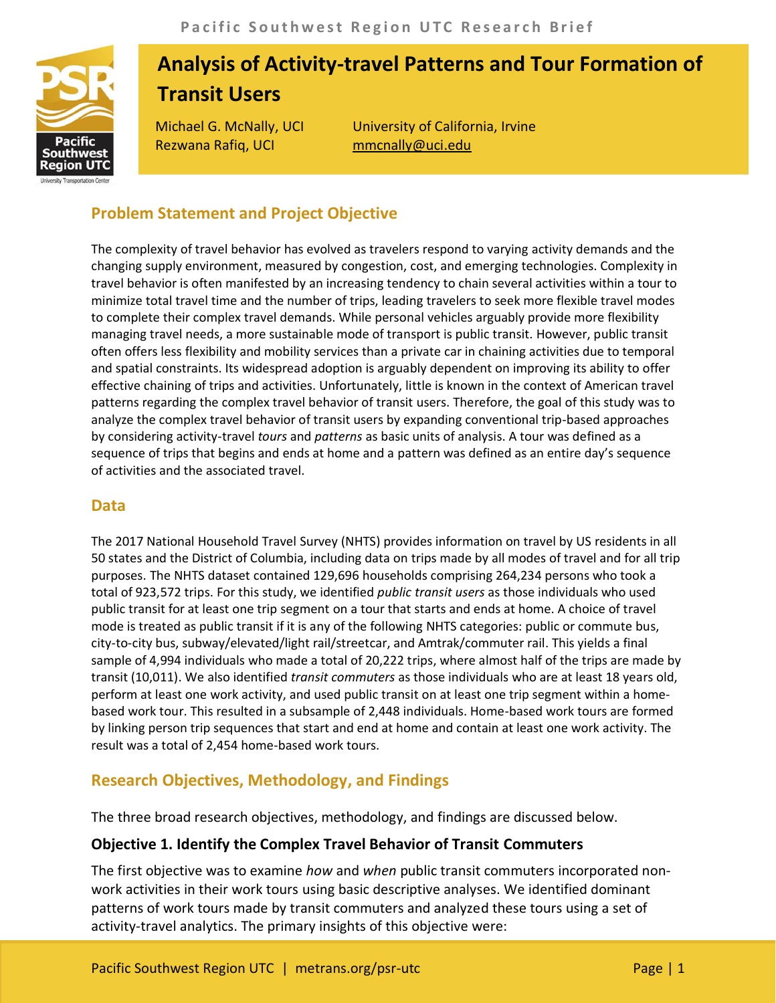

# **Analysis of Activity-travel Patterns and Tour Formation of Transit Users**

Rezwana Rafiq, UCI mmcnally@uci.edu

Michael G. McNally, UCI University of California, Irvine

# **Problem Statement and Project Objective**

The complexity of travel behavior has evolved as travelers respond to varying activity demands and the changing supply environment, measured by congestion, cost, and emerging technologies. Complexity in travel behavior is often manifested by an increasing tendency to chain several activities within a tour to minimize total travel time and the number of trips, leading travelers to seek more flexible travel modes to complete their complex travel demands. While personal vehicles arguably provide more flexibility managing travel needs, a more sustainable mode of transport is public transit. However, public transit often offers less flexibility and mobility services than a private car in chaining activities due to temporal and spatial constraints. Its widespread adoption is arguably dependent on improving its ability to offer effective chaining of trips and activities. Unfortunately, little is known in the context of American travel patterns regarding the complex travel behavior of transit users. Therefore, the goal of this study was to analyze the complex travel behavior of transit users by expanding conventional trip-based approaches by considering activity-travel *tours* and *patterns* as basic units of analysis. A tour was defined as a sequence of trips that begins and ends at home and a pattern was defined as an entire day's sequence of activities and the associated travel.

#### **Data**

The 2017 National Household Travel Survey (NHTS) provides information on travel by US residents in all 50 states and the District of Columbia, including data on trips made by all modes of travel and for all trip purposes. The NHTS dataset contained 129,696 households comprising 264,234 persons who took a total of 923,572 trips. For this study, we identified *public transit users* as those individuals who used public transit for at least one trip segment on a tour that starts and ends at home. A choice of travel mode is treated as public transit if it is any of the following NHTS categories: public or commute bus, city-to-city bus, subway/elevated/light rail/streetcar, and Amtrak/commuter rail. This yields a final sample of 4,994 individuals who made a total of 20,222 trips, where almost half of the trips are made by transit (10,011). We also identified *transit commuters* as those individuals who are at least 18 years old, perform at least one work activity, and used public transit on at least one trip segment within a homebased work tour. This resulted in a subsample of 2,448 individuals. Home-based work tours are formed by linking person trip sequences that start and end at home and contain at least one work activity. The result was a total of 2,454 home-based work tours.

# **Research Objectives, Methodology, and Findings**

The three broad research objectives, methodology, and findings are discussed below.

#### **Objective 1. Identify the Complex Travel Behavior of Transit Commuters**

The first objective was to examine *how* and *when* public transit commuters incorporated nonwork activities in their work tours using basic descriptive analyses. We identified dominant patterns of work tours made by transit commuters and analyzed these tours using a set of activity-travel analytics. The primary insights of this objective were: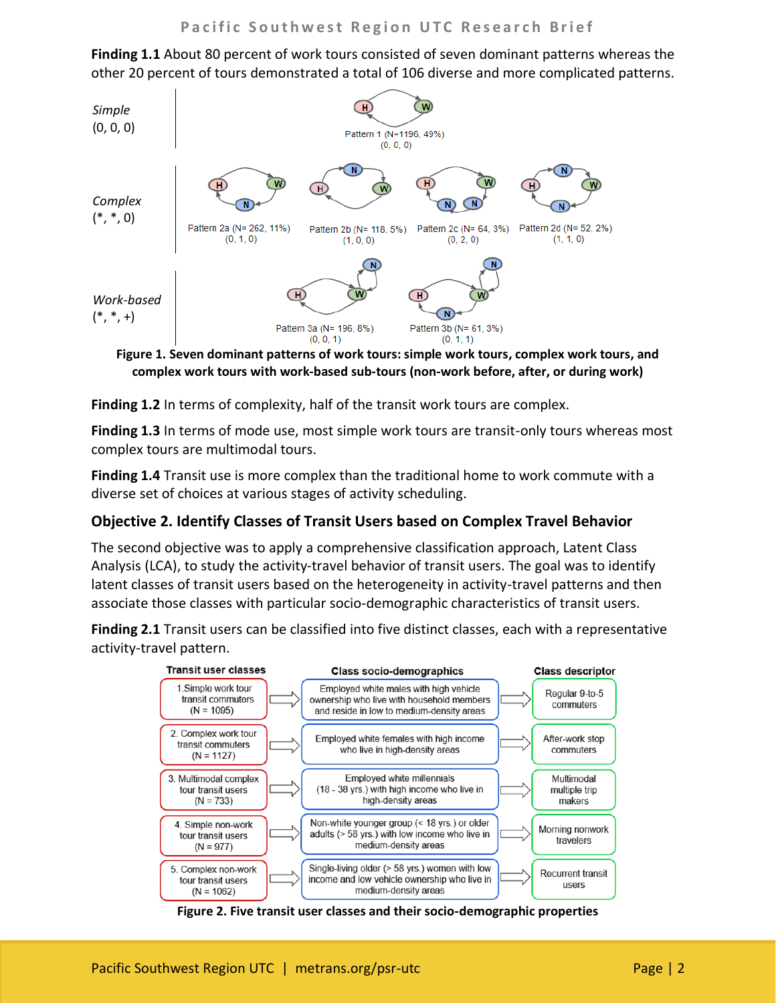**Finding 1.1** About 80 percent of work tours consisted of seven dominant patterns whereas the other 20 percent of tours demonstrated a total of 106 diverse and more complicated patterns.



**Figure 1. Seven dominant patterns of work tours: simple work tours, complex work tours, and complex work tours with work-based sub-tours (non-work before, after, or during work)**

**Finding 1.2** In terms of complexity, half of the transit work tours are complex.

**Finding 1.3** In terms of mode use, most simple work tours are transit-only tours whereas most complex tours are multimodal tours.

**Finding 1.4** Transit use is more complex than the traditional home to work commute with a diverse set of choices at various stages of activity scheduling.

#### **Objective 2. Identify Classes of Transit Users based on Complex Travel Behavior**

The second objective was to apply a comprehensive classification approach, Latent Class Analysis (LCA), to study the activity-travel behavior of transit users. The goal was to identify latent classes of transit users based on the heterogeneity in activity-travel patterns and then associate those classes with particular socio-demographic characteristics of transit users.

**Finding 2.1** Transit users can be classified into five distinct classes, each with a representative activity-travel pattern.



**Figure 2. Five transit user classes and their socio-demographic properties**